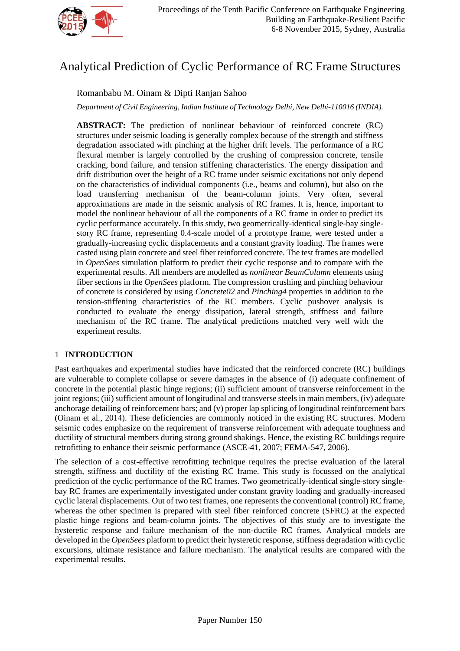

# Analytical Prediction of Cyclic Performance of RC Frame Structures

## Romanbabu M. Oinam & Dipti Ranjan Sahoo

*Department of Civil Engineering, Indian Institute of Technology Delhi, New Delhi-110016 (INDIA).*

**ABSTRACT:** The prediction of nonlinear behaviour of reinforced concrete (RC) structures under seismic loading is generally complex because of the strength and stiffness degradation associated with pinching at the higher drift levels. The performance of a RC flexural member is largely controlled by the crushing of compression concrete, tensile cracking, bond failure, and tension stiffening characteristics. The energy dissipation and drift distribution over the height of a RC frame under seismic excitations not only depend on the characteristics of individual components (i.e., beams and column), but also on the load transferring mechanism of the beam-column joints. Very often, several approximations are made in the seismic analysis of RC frames. It is, hence, important to model the nonlinear behaviour of all the components of a RC frame in order to predict its cyclic performance accurately. In this study, two geometrically-identical single-bay singlestory RC frame, representing 0.4-scale model of a prototype frame, were tested under a gradually-increasing cyclic displacements and a constant gravity loading. The frames were casted using plain concrete and steel fiber reinforced concrete. The test frames are modelled in *OpenSees* simulation platform to predict their cyclic response and to compare with the experimental results. All members are modelled as *nonlinear BeamColumn* elements using fiber sections in the *OpenSees* platform. The compression crushing and pinching behaviour of concrete is considered by using *Concrete02* and *Pinching4* properties in addition to the tension-stiffening characteristics of the RC members. Cyclic pushover analysis is conducted to evaluate the energy dissipation, lateral strength, stiffness and failure mechanism of the RC frame. The analytical predictions matched very well with the experiment results.

## 1 **INTRODUCTION**

Past earthquakes and experimental studies have indicated that the reinforced concrete (RC) buildings are vulnerable to complete collapse or severe damages in the absence of (i) adequate confinement of concrete in the potential plastic hinge regions; (ii) sufficient amount of transverse reinforcement in the joint regions; (iii) sufficient amount of longitudinal and transverse steels in main members, (iv) adequate anchorage detailing of reinforcement bars; and (v) proper lap splicing of longitudinal reinforcement bars (Oinam et al., 2014). These deficiencies are commonly noticed in the existing RC structures. Modern seismic codes emphasize on the requirement of transverse reinforcement with adequate toughness and ductility of structural members during strong ground shakings. Hence, the existing RC buildings require retrofitting to enhance their seismic performance (ASCE-41, 2007; FEMA-547, 2006).

The selection of a cost-effective retrofitting technique requires the precise evaluation of the lateral strength, stiffness and ductility of the existing RC frame. This study is focussed on the analytical prediction of the cyclic performance of the RC frames. Two geometrically-identical single-story singlebay RC frames are experimentally investigated under constant gravity loading and gradually-increased cyclic lateral displacements. Out of two test frames, one represents the conventional (control) RC frame, whereas the other specimen is prepared with steel fiber reinforced concrete (SFRC) at the expected plastic hinge regions and beam-column joints. The objectives of this study are to investigate the hysteretic response and failure mechanism of the non-ductile RC frames. Analytical models are developed in the *OpenSees* platform to predict their hysteretic response, stiffness degradation with cyclic excursions, ultimate resistance and failure mechanism. The analytical results are compared with the experimental results.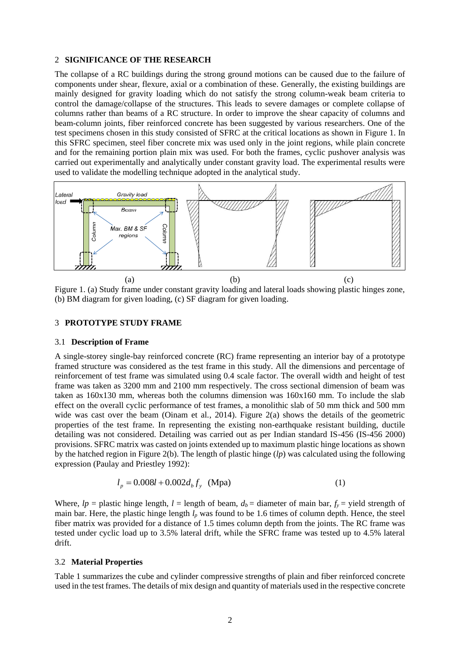#### 2 **SIGNIFICANCE OF THE RESEARCH**

The collapse of a RC buildings during the strong ground motions can be caused due to the failure of components under shear, flexure, axial or a combination of these. Generally, the existing buildings are mainly designed for gravity loading which do not satisfy the strong column-weak beam criteria to control the damage/collapse of the structures. This leads to severe damages or complete collapse of columns rather than beams of a RC structure. In order to improve the shear capacity of columns and beam-column joints, fiber reinforced concrete has been suggested by various researchers. One of the test specimens chosen in this study consisted of SFRC at the critical locations as shown in [Figure 1.](#page-1-0) In this SFRC specimen, steel fiber concrete mix was used only in the joint regions, while plain concrete and for the remaining portion plain mix was used. For both the frames, cyclic pushover analysis was carried out experimentally and analytically under constant gravity load. The experimental results were used to validate the modelling technique adopted in the analytical study.



<span id="page-1-0"></span>Figure 1. (a) Study frame under constant gravity loading and lateral loads showing plastic hinges zone, (b) BM diagram for given loading, (c) SF diagram for given loading.

#### 3 **PROTOTYPE STUDY FRAME**

#### 3.1 **Description of Frame**

A single-storey single-bay reinforced concrete (RC) frame representing an interior bay of a prototype framed structure was considered as the test frame in this study. All the dimensions and percentage of reinforcement of test frame was simulated using 0.4 scale factor. The overall width and height of test frame was taken as 3200 mm and 2100 mm respectively. The cross sectional dimension of beam was taken as 160x130 mm, whereas both the columns dimension was 160x160 mm. To include the slab effect on the overall cyclic performance of test frames, a monolithic slab of 50 mm thick and 500 mm wide was cast over the beam (Oinam et al., 2014). Figure 2(a) shows the details of the geometric properties of the test frame. In representing the existing non-earthquake resistant building, ductile detailing was not considered. Detailing was carried out as per Indian standard IS-456 (IS-456 2000) provisions. SFRC matrix was casted on joints extended up to maximum plastic hinge locations as shown by the hatched region in Figure 2(b). The length of plastic hinge (*lp*) was calculated using the following expression (Paulay and Priestley 1992):

$$
l_p = 0.008l + 0.002d_b f_y \text{ (Mpa)}\tag{1}
$$

Where,  $lp =$  plastic hinge length,  $l =$  length of beam,  $d_b =$  diameter of main bar,  $f_y =$  yield strength of main bar. Here, the plastic hinge length  $l_p$  was found to be 1.6 times of column depth. Hence, the steel fiber matrix was provided for a distance of 1.5 times column depth from the joints. The RC frame was tested under cyclic load up to 3.5% lateral drift, while the SFRC frame was tested up to 4.5% lateral drift.

#### 3.2 **Material Properties**

Table 1 summarizes the cube and cylinder compressive strengths of plain and fiber reinforced concrete used in the test frames. The details of mix design and quantity of materials used in the respective concrete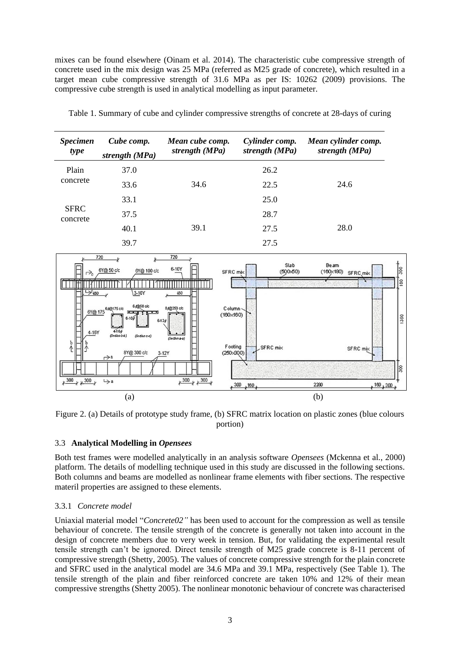mixes can be found elsewhere (Oinam et al. 2014). The characteristic cube compressive strength of concrete used in the mix design was 25 MPa (referred as M25 grade of concrete), which resulted in a target mean cube compressive strength of 31.6 MPa as per IS: 10262 (2009) provisions. The compressive cube strength is used in analytical modelling as input parameter.

| <i>Specimen</i><br>type | Cube comp.<br>strength (MPa) | Mean cube comp.<br>strength (MPa) | Cylinder comp.<br>strength (MPa) | Mean cylinder comp.<br>strength (MPa) |
|-------------------------|------------------------------|-----------------------------------|----------------------------------|---------------------------------------|
| Plain<br>concrete       | 37.0                         |                                   | 26.2                             |                                       |
|                         | 33.6                         | 34.6                              | 22.5                             | 24.6                                  |
|                         | 33.1                         |                                   | 25.0                             |                                       |
| <b>SFRC</b><br>concrete | 37.5                         |                                   | 28.7                             |                                       |
|                         | 40.1                         | 39.1                              | 27.5                             | 28.0                                  |
|                         | 39.7                         |                                   | 27.5                             |                                       |

Table 1. Summary of cube and cylinder compressive strengths of concrete at 28-days of curing





## 3.3 **Analytical Modelling in** *Opensees*

Both test frames were modelled analytically in an analysis software *Opensees* (Mckenna et al., 2000) platform. The details of modelling technique used in this study are discussed in the following sections. Both columns and beams are modelled as nonlinear frame elements with fiber sections. The respective materil properties are assigned to these elements.

#### 3.3.1 *Concrete model*

Uniaxial material model "*Concrete02"* has been used to account for the compression as well as tensile behaviour of concrete. The tensile strength of the concrete is generally not taken into account in the design of concrete members due to very week in tension. But, for validating the experimental result tensile strength can't be ignored. Direct tensile strength of M25 grade concrete is 8-11 percent of compressive strength (Shetty, 2005). The values of concrete compressive strength for the plain concrete and SFRC used in the analytical model are 34.6 MPa and 39.1 MPa, respectively (See Table 1). The tensile strength of the plain and fiber reinforced concrete are taken 10% and 12% of their mean compressive strengths (Shetty 2005). The nonlinear monotonic behaviour of concrete was characterised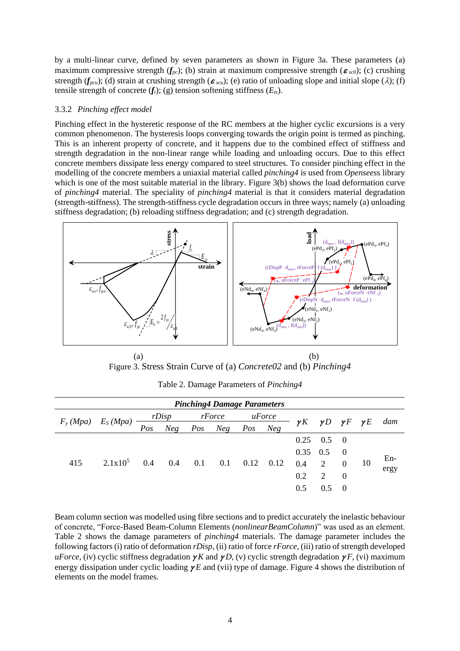by a multi-linear curve, defined by seven parameters as shown in [Figure 3a](#page-3-0). These parameters (a) maximum compressive strength  $(f_{pc})$ ; (b) strain at maximum compressive strength  $(\epsilon_{sc0})$ ; (c) crushing strength ( $f_{pcu}$ ); (d) strain at crushing strength ( $\epsilon_{scu}$ ); (e) ratio of unloading slope and initial slope ( $\lambda$ ); (f) tensile strength of concrete  $(f_t)$ ; (g) tension softening stiffness  $(E_t)$ .

#### 3.3.2 *Pinching effect model*

Pinching effect in the hysteretic response of the RC members at the higher cyclic excursions is a very common phenomenon. The hysteresis loops converging towards the origin point is termed as pinching. This is an inherent property of concrete, and it happens due to the combined effect of stiffness and strength degradation in the non-linear range while loading and unloading occurs. Due to this effect concrete members dissipate less energy compared to steel structures. To consider pinching effect in the modelling of the concrete members a uniaxial material called *pinching4* is used from *Opensees*s library which is one of the most suitable material in the library. [Figure 3\(](#page-3-0)b) shows the load deformation curve of *pinching4* material. The speciality of *pinching4* material is that it considers material degradation (strength-stiffness). The strength-stiffness cycle degradation occurs in three ways; namely (a) unloading stiffness degradation; (b) reloading stiffness degradation; and (c) strength degradation.



 $(a)$  (b) Figure 3. Stress Strain Curve of (a) *Concrete02* and (b) *Pinching4*

<span id="page-3-1"></span><span id="page-3-0"></span>

| <b>Pinching4 Damage Parameters</b> |            |            |     |        |         |        |            |      |                                       |                |       |     |
|------------------------------------|------------|------------|-----|--------|---------|--------|------------|------|---------------------------------------|----------------|-------|-----|
| $F_{y} (Mpa)$                      | $E_S(Mpa)$ | rDisp      |     | rForce |         | uForce |            |      |                                       |                |       | dam |
|                                    |            | Pos        | Neg | Pos    | Neg Pos |        | <b>Neg</b> |      | $\gamma K \gamma D \gamma F \gamma E$ |                |       |     |
| 415                                | $2.1x10^5$ | 0.4<br>0.4 |     |        |         |        |            | 0.25 | $0.5 \quad 0$                         |                |       |     |
|                                    |            |            |     |        |         |        |            | 0.35 | 0.5                                   | $\overline{0}$ |       |     |
|                                    |            |            | 0.1 | 0.1    | 0.12    | 0.12   | 0.4        | 2    | $\theta$                              | 10             | $En-$ |     |
|                                    |            |            |     |        |         |        | 0.2        | 2    | $\overline{0}$                        |                |       |     |
|                                    |            |            |     |        |         |        | 0.5        | 0.5  | - 0                                   |                |       |     |
|                                    |            |            |     |        |         |        |            |      |                                       |                | ergy  |     |

Table 2. Damage Parameters of *Pinching4*

Beam column section was modelled using fibre sections and to predict accurately the inelastic behaviour of concrete, "Force-Based Beam-Column Elements (*nonlinearBeamColumn*)" was used as an element. [Table 2](#page-3-1) shows the damage parameters of *pinching4* materials. The damage parameter includes the following factors (i) ratio of deformation *rDisp*, (ii) ratio of force *rForce*, (iii) ratio of strength developed *uForce*, (iv) cyclic stiffness degradation  $\gamma K$  and  $\gamma D$ , (v) cyclic strength degradation  $\gamma F$ , (vi) maximum energy dissipation under cyclic loading  $\gamma E$  and (vii) type of damage. [Figure 4](#page-4-0) shows the distribution of elements on the model frames.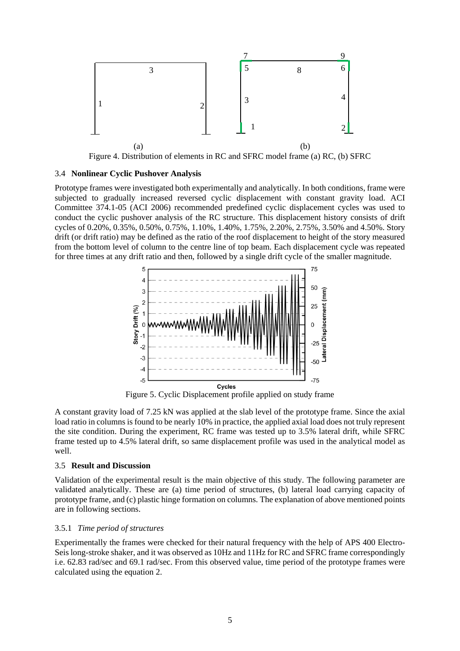

Figure 4. Distribution of elements in RC and SFRC model frame (a) RC, (b) SFRC

#### <span id="page-4-0"></span>3.4 **Nonlinear Cyclic Pushover Analysis**

Prototype frames were investigated both experimentally and analytically. In both conditions, frame were subjected to gradually increased reversed cyclic displacement with constant gravity load. ACI Committee 374.1-05 (ACI 2006) recommended predefined cyclic displacement cycles was used to conduct the cyclic pushover analysis of the RC structure. This displacement history consists of drift cycles of 0.20%, 0.35%, 0.50%, 0.75%, 1.10%, 1.40%, 1.75%, 2.20%, 2.75%, 3.50% and 4.50%. Story drift (or drift ratio) may be defined as the ratio of the roof displacement to height of the story measured from the bottom level of column to the centre line of top beam. Each displacement cycle was repeated for three times at any drift ratio and then, followed by a single drift cycle of the smaller magnitude.



Figure 5. Cyclic Displacement profile applied on study frame

A constant gravity load of 7.25 kN was applied at the slab level of the prototype frame. Since the axial load ratio in columns is found to be nearly 10% in practice, the applied axial load does not truly represent the site condition. During the experiment, RC frame was tested up to 3.5% lateral drift, while SFRC frame tested up to 4.5% lateral drift, so same displacement profile was used in the analytical model as well.

## 3.5 **Result and Discussion**

Validation of the experimental result is the main objective of this study. The following parameter are validated analytically. These are (a) time period of structures, (b) lateral load carrying capacity of prototype frame, and (c) plastic hinge formation on columns. The explanation of above mentioned points are in following sections.

#### 3.5.1 *Time period of structures*

Experimentally the frames were checked for their natural frequency with the help of APS 400 Electro-Seis long-stroke shaker, and it was observed as 10Hz and 11Hz for RC and SFRC frame correspondingly i.e. 62.83 rad/sec and 69.1 rad/sec. From this observed value, time period of the prototype frames were calculated using the equation 2.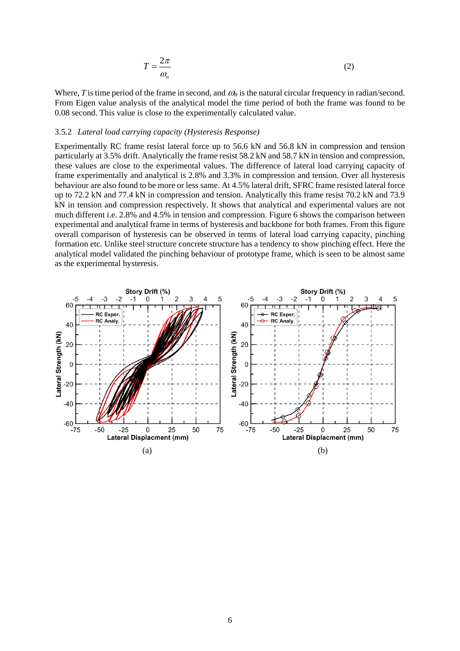$$
T = \frac{2\pi}{\omega_n} \tag{2}
$$

Where, *T* is time period of the frame in second, and  $\omega_n$  is the natural circular frequency in radian/second. From Eigen value analysis of the analytical model the time period of both the frame was found to be 0.08 second. This value is close to the experimentally calculated value.

#### 3.5.2 *Lateral load carrying capacity (Hysteresis Response)*

Experimentally RC frame resist lateral force up to 56.6 kN and 56.8 kN in compression and tension particularly at 3.5% drift. Analytically the frame resist 58.2 kN and 58.7 kN in tension and compression, these values are close to the experimental values. The difference of lateral load carrying capacity of frame experimentally and analytical is 2.8% and 3.3% in compression and tension. Over all hysteresis behaviour are also found to be more or less same. At 4.5% lateral drift, SFRC frame resisted lateral force up to 72.2 kN and 77.4 kN in compression and tension. Analytically this frame resist 70.2 kN and 73.9 kN in tension and compression respectively. It shows that analytical and experimental values are not much different i.e. 2.8% and 4.5% in tension and compression. [Figure 6](#page-6-0) shows the comparison between experimental and analytical frame in terms of hysteresis and backbone for both frames. From this figure overall comparison of hysteresis can be observed in terms of lateral load carrying capacity, pinching formation etc. Unlike steel structure concrete structure has a tendency to show pinching effect. Here the analytical model validated the pinching behaviour of prototype frame, which is seen to be almost same as the experimental hysteresis.

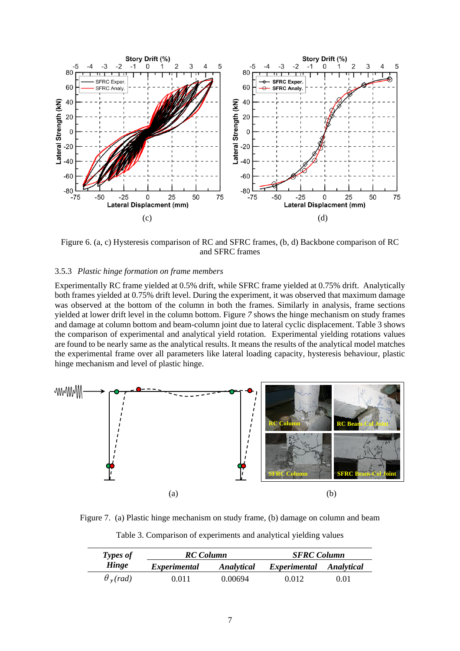

<span id="page-6-0"></span>Figure 6. (a, c) Hysteresis comparison of RC and SFRC frames, (b, d) Backbone comparison of RC and SFRC frames

#### 3.5.3 *Plastic hinge formation on frame members*

Experimentally RC frame yielded at 0.5% drift, while SFRC frame yielded at 0.75% drift. Analytically both frames yielded at 0.75% drift level. During the experiment, it was observed that maximum damage was observed at the bottom of the column in both the frames. Similarly in analysis, frame sections yielded at lower drift level in the column bottom. [Figure](#page-6-1) *7* shows the hinge mechanism on study frames and damage at column bottom and beam-column joint due to lateral cyclic displacement. [Table 3](#page-6-2) shows the comparison of experimental and analytical yield rotation. Experimental yielding rotations values are found to be nearly same as the analytical results. It means the results of the analytical model matches the experimental frame over all parameters like lateral loading capacity, hysteresis behaviour, plastic hinge mechanism and level of plastic hinge.



<span id="page-6-2"></span><span id="page-6-1"></span>Figure 7. (a) Plastic hinge mechanism on study frame, (b) damage on column and beam

| <b>Types of</b>             | <b>RC</b> Column    |            | <b>SFRC</b> Column      |      |  |  |
|-----------------------------|---------------------|------------|-------------------------|------|--|--|
| Hinge                       | <i>Experimental</i> | Analytical | Experimental Analytical |      |  |  |
| $\theta$ <sub>v</sub> (rad) | 0.011               | 0.00694    | 0.012                   | 0.01 |  |  |